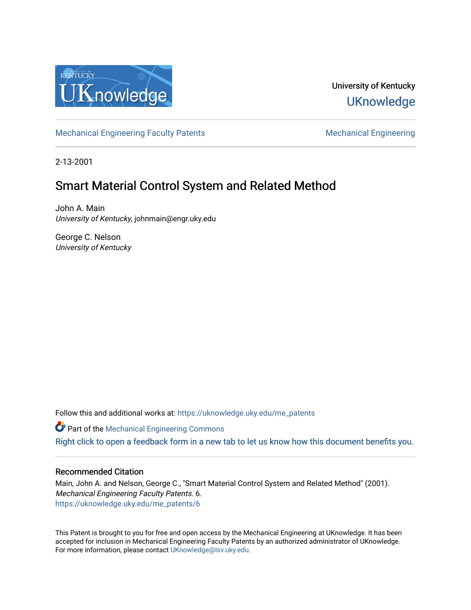

## University of Kentucky **UKnowledge**

[Mechanical Engineering Faculty Patents](https://uknowledge.uky.edu/me_patents) [Mechanical Engineering](https://uknowledge.uky.edu/me) Mechanical Engineering

2-13-2001

# Smart Material Control System and Related Method

John A. Main University of Kentucky, johnmain@engr.uky.edu

George C. Nelson University of Kentucky

Follow this and additional works at: [https://uknowledge.uky.edu/me\\_patents](https://uknowledge.uky.edu/me_patents?utm_source=uknowledge.uky.edu%2Fme_patents%2F6&utm_medium=PDF&utm_campaign=PDFCoverPages) 

**C** Part of the Mechanical Engineering Commons

[Right click to open a feedback form in a new tab to let us know how this document benefits you.](https://uky.az1.qualtrics.com/jfe/form/SV_9mq8fx2GnONRfz7)

### Recommended Citation

Main, John A. and Nelson, George C., "Smart Material Control System and Related Method" (2001). Mechanical Engineering Faculty Patents. 6. [https://uknowledge.uky.edu/me\\_patents/6](https://uknowledge.uky.edu/me_patents/6?utm_source=uknowledge.uky.edu%2Fme_patents%2F6&utm_medium=PDF&utm_campaign=PDFCoverPages)

This Patent is brought to you for free and open access by the Mechanical Engineering at UKnowledge. It has been accepted for inclusion in Mechanical Engineering Faculty Patents by an authorized administrator of UKnowledge. For more information, please contact [UKnowledge@lsv.uky.edu.](mailto:UKnowledge@lsv.uky.edu)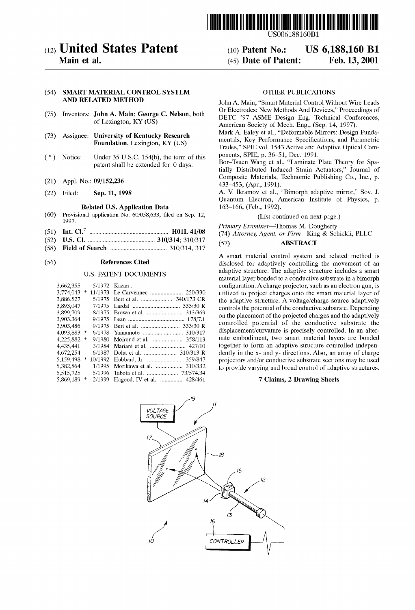

(10) Patent N0.: (45) Date of Patent:

### (12) United States Patent

Main et al.

#### (54) SMART MATERIAL CONTROL SYSTEM AND RELATED METHOD

- (75) Inventors: John A. Main; George C. Nelson, both of Lexington, KY (US)
- (73) Assignee: University of Kentucky Research Foundation, Lexington, KY (US)
- (\*) Notice: Under 35 U.S.C. 154(b), the term of this patent shall be extended for 0 days.
- (21) Appl. No.: 09/152,236
- (22) Filed: Sep. 11, 1998

#### Related US. Application Data

- (60) Provisional application No. 60/058,633, filed on Sep. 12, 1997.
- (51) Int. Cl.7 ................................................... .. H01L 41/08
- (52) US. Cl. .......... .. 310/314; 310/317
- (58) Field of Search .................................... .. 310/314, 317

#### (56) References Cited

#### U.S. PATENT DOCUMENTS

| 3,774,043<br>11/1973<br>*<br>3,886,527<br>5/1975<br>3,893,047<br>7/1975<br>3,899,709<br>Brown et al.  313/369<br>8/1975<br>3,903,364<br>9/1975<br>3,903,486<br>9/1975<br>4,093,883 *<br>Yamamoto  310/317<br>6/1978<br>Moiroud et al.  358/113<br>4,225,882<br>9/1980<br>∗<br>4,435,441<br>Mariani et al.  427/10<br>3/1984<br>Dolat et al.  310/313 R<br>4,672,254<br>6/1987<br>5,159,498<br>Hubbard, Jr.  359/847<br>10/1992<br>*<br>Morikawa et al.  310/332<br>5,382,864<br>1/1995<br>5.515.725<br>Tabota et al.  73/574.34<br>5/1996<br>5,869,189<br>2/1999<br>*<br>Hagood, IV et al.  428/461 | 3,662,355 |  | 5/1972 Kazan. |
|-----------------------------------------------------------------------------------------------------------------------------------------------------------------------------------------------------------------------------------------------------------------------------------------------------------------------------------------------------------------------------------------------------------------------------------------------------------------------------------------------------------------------------------------------------------------------------------------------------|-----------|--|---------------|
|                                                                                                                                                                                                                                                                                                                                                                                                                                                                                                                                                                                                     |           |  |               |
|                                                                                                                                                                                                                                                                                                                                                                                                                                                                                                                                                                                                     |           |  |               |
|                                                                                                                                                                                                                                                                                                                                                                                                                                                                                                                                                                                                     |           |  |               |
|                                                                                                                                                                                                                                                                                                                                                                                                                                                                                                                                                                                                     |           |  |               |
|                                                                                                                                                                                                                                                                                                                                                                                                                                                                                                                                                                                                     |           |  |               |
|                                                                                                                                                                                                                                                                                                                                                                                                                                                                                                                                                                                                     |           |  |               |
|                                                                                                                                                                                                                                                                                                                                                                                                                                                                                                                                                                                                     |           |  |               |
|                                                                                                                                                                                                                                                                                                                                                                                                                                                                                                                                                                                                     |           |  |               |
|                                                                                                                                                                                                                                                                                                                                                                                                                                                                                                                                                                                                     |           |  |               |
|                                                                                                                                                                                                                                                                                                                                                                                                                                                                                                                                                                                                     |           |  |               |
|                                                                                                                                                                                                                                                                                                                                                                                                                                                                                                                                                                                                     |           |  |               |
|                                                                                                                                                                                                                                                                                                                                                                                                                                                                                                                                                                                                     |           |  |               |
|                                                                                                                                                                                                                                                                                                                                                                                                                                                                                                                                                                                                     |           |  |               |
|                                                                                                                                                                                                                                                                                                                                                                                                                                                                                                                                                                                                     |           |  |               |

#### OTHER PUBLICATIONS

US 6,188,160 B1

Feb. 13, 2001

John A. Main, "Smart Material Control Without Wire Leads Or Electrodes: NeW Methods And Devices," Proceedings of DETC '97 ASME Design Eng. Technical Conferences, American Society of Mech. Eng., (Sep. 14, 1997).

Mark A. Ealey et al., "Deformable Mirrors: Design Funda mentals, Key Performance Specifications, and Parametric Trades," SPIE vol. 1543 Active and Adaptive Optical Com ponents, SPIE, p. 36—51, Dec. 1991.

Bor—Tsuen Wang et al., "Laminate Plate Theory for Spa tially Distributed Induced Strain Actuators," Journal of Composite Materials, Technomic Publishing Co., Inc., p. 433—453, (Apr, 1991).

A. V. Ikramov et al., "Bimorph adaptive mirror," Sov. J. Quantum Electron, American Institute of Physics, p. 163—166, (Feb., 1992).

#### (List continued on next page.)

Primary Examiner-Thomas M. Dougherty (74) Attorney, Agent, or Firm—King & Schickli, PLLC

#### (57) ABSTRACT

A smart material control system and related method is disclosed for adaptively controlling the movement of an adaptive structure. The adaptive structure includes a smart material layer bonded to a conductive substrate in a bimorph configuration. A charge projector, such as an electron gun, is utilized to project charges onto the smart material layer of the adaptive structure. A voltage/charge source adaptively controls the potential of the conductive substrate. Depending on the placement of the projected charges and the adaptively controlled potential of the conductive substrate the displacement/curvature is precisely controlled. In an alter nate embodiment, tWo smart material layers are bonded together to form an adaptive structure controlled indepen dently in the x- and y- directions. Also, an array of charge projectors and/or conductive substrate sections may be used to provide varying and broad control of adaptive structures.

#### 7 Claims, 2 Drawing Sheets

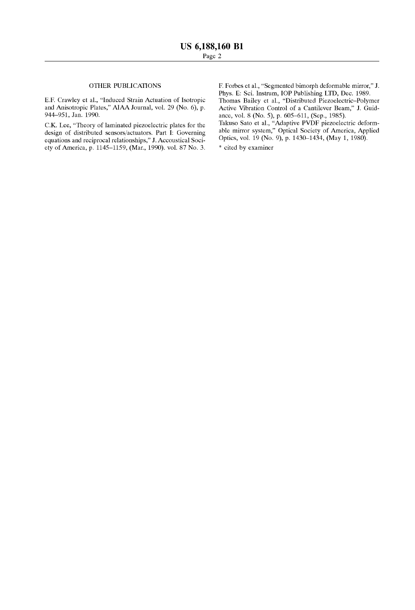#### OTHER PUBLICATIONS

E.F. CraWley et al., "Induced Strain Actuation of Isotropic and Anisotropic Plates," AIAA Journal, vol. 29 (No. 6), p. 944—951, Jan. 1990.

C.K. Lee, "Theory of laminated piezoelectric plates for the design of distributed sensors/actuators. Part I: Governing equations and reciprocal relationships," J. Accoustical Soci ety of America, p. 1145—1159, (Mar, 1990). vol. 87 No. 3.

F. Forbes et al., "Segmented bimorph deformable mirror," J. Phys. E: Sci. Instrurn, IOP Publishing LTD, Dec. 1989. Thomas Bailey et al., "Distributed Piezoelectric-Polymer Active Vibration Control of a Cantilever Beam," J. Guidance, vol. 8 (No. 5), p. 605—611, (Sep., 1985). Takuso Sato et al., "Adaptive PVDF pieZoelectric deform able mirror system," Optical Society of America, Applied Optics, vol. 19 (No. 9), p. 1430—1434, (May 1, 1980). \* cited by eXarniner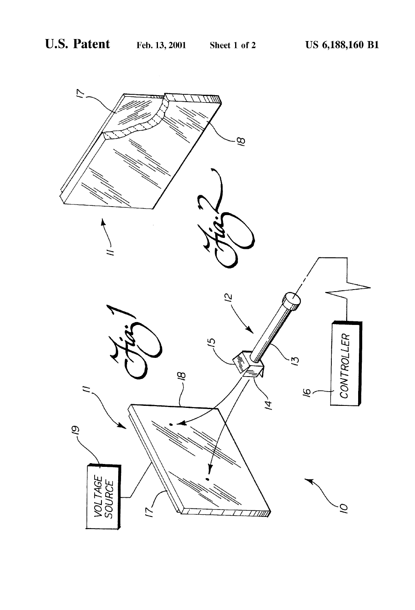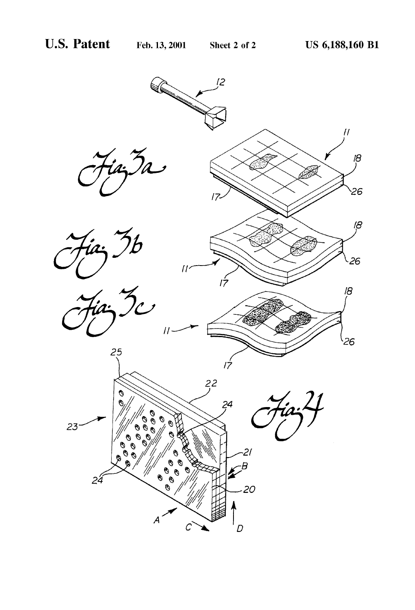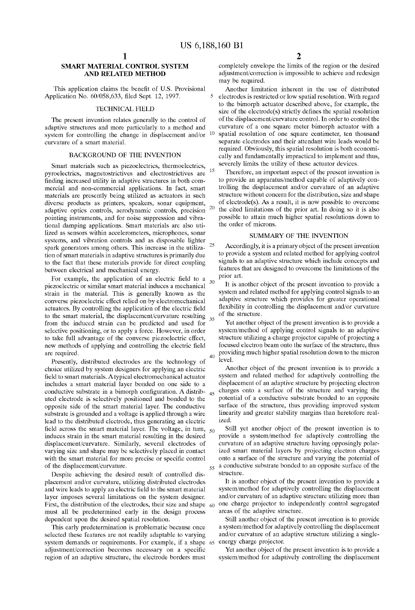$\leq$ 

15

 $20\,$ 

25

 $25$ 

 $30$ 

45

 $60$ 

 $40$ 

### SMART MATERIAL CONTROL SYSTEM AND RELATED METHOD

This application claims the benefit of U.S. Provisional Application No. 60/058,633, filed Sept. 12, 1997.

#### TECHNICAL FIELD

The present invention relates generally to the control of adaptive structures and more particularly to a method and system for controlling the change in displacement and/or  $10$ system for controlling the change in displacement and/or curvature of a smart material.

#### BACKGROUND OF THE INVENTION

Smart materials such as pieZoelectrics, thermoelectrics, pyroelectrics, magnetostrictives and electrostrictives are finding increased utility in adaptive structures in both commercial and non-commercial applications. In fact, smart materials are presently being utilized as actuators in such diverse products as printers, speakers, sonar equipment, adaptive optics controls, aerodynamic controls, precision pointing instruments, and for noise suppression and vibra tional damping applications. Smart materials are also uti lized as sensors within accelerometers, microphones, sonar systems, and vibration controls and as disposable lighter spark generators among others. This increase in the utilization of smart materials in adaptive structures is primarily due to the fact that these materials provide for direct coupling between electrical and mechanical energy.

For example, the application of an electric field to a pieZoelectric or similar smart material induces a mechanical strain in the material. This is generally known as the converse pieZoelectric effect relied on by electromechanical actuators. By controlling the application of the electric field to the smart material, the displacement/curvature resulting from the induced strain can be predicted and used for selective positioning, or to apply a force. HoWever, in order to take full advantage of the converse pieZoelectric effect, new methods of applying and controlling the electric field are required.

Presently, distributed electrodes are the technology of choice utilized by system designers for applying an electric field to smart materials. A typical electromechanical actuator includes a smart material layer bonded on one side to a conductive substrate in a bimorph configuration. A distributed electrode is selectively positioned and bonded to the opposite side of the smart material layer. The conductive substrate is grounded and a voltage is applied through a Wire lead to the distributed electrode, thus generating an electric field across the smart material layer. The voltage, in turn, induces strain in the smart material resulting in the desired displacement/curvature. Similarly, several electrodes of varying size and shape may be selectively placed in contact with the smart material for more precise or specific control of the displacement/curvature.

Despite achieving the desired result of controlled dis placement and/or curvature, utilizing distributed electrodes and wire leads to apply an electric field to the smart material layer imposes several limitations on the system designer. First, the distribution of the electrodes, their size and shape must all be predetermined early in the design process dependent upon the desired spatial resolution.

This early predetermination is problematic because once selected these features are not readily adaptable to varying system demands or requirements. For example, if a shape 65 energy charge projector. adjustment/correction becomes necessary on a specific region of an adaptive structure, the electrode borders must

2

completely envelope the limits of the region or the desired adjustment/correction is impossible to achieve and redesign may be required.

Another limitation inherent in the use of distributed electrodes is restricted or loW spatial resolution. With regard to the bimorph actuator described above, for example, the size of the electrode(s) strictly defines the spatial resolution of the displacement/curvature control. In order to control the curvature of a one square meter bimorph actuator With a spatial resolution of one square centimeter, ten thousand separate electrodes and their attendant Wire leads Would be required. Obviously, this spatial resolution is both economi cally and fundamentally impractical to implement and thus, severely limits the utility of these actuator devices.

Therefore, an important aspect of the present invention is to provide an apparatus/method capable of adaptively con trolling the displacement and/or curvature of an adaptive structure without concern for the distribution, size and shape of electrode(s). As a result, it is noW possible to overcome the cited limitations of the prior art. In doing so it is also possible to attain much higher spatial resolutions doWn to the order of microns.

#### SUMMARY OF THE INVENTION

Accordingly, it is a primary object of the present invention to provide a system and related method for applying control signals to an adaptive structure Which include concepts and features that are designed to overcome the limitations of the prior art.

It is another object of the present invention to provide a system and related method for applying control signals to an adaptive structure Which provides for greater operational flexibility in controlling the displacement and/or curvature of the structure.

Yet another object of the present invention is to provide a system/method of applying control signals to an adaptive structure utilizing a charge projector capable of projecting a focused electron beam onto the surface of the structure, thus providing much higher spatial resolution doWn to the micron level.

Another object of the present invention is to provide a system and related method for adaptively controlling the displacement of an adaptive structure by projecting electron charges onto a surface of the structure and varying the potential of a conductive substrate bonded to an opposite surface of the structure, thus providing improved system linearity and greater stability margins than heretofore real ized.

Still yet another object of the present invention is to 50 provide a system/method for adaptively controlling the curvature of an adaptive structure having opposingly polar ized smart material layers by projecting electron charges onto a surface of the structure and varying the potential of  $_{55}$  a conductive substrate bonded to an opposite surface of the structure.

It is another object of the present invention to provide a system/method for adaptively controlling the displacement and/or curvature of an adaptive structure utilizing more than one charge projector to independently control segregated areas of the adaptive structure.

Still another object of the present invention is to provide a system/method for adaptively controlling the displacement and/or curvature of an adaptive structure utilizing a single-

Yet another object of the present invention is to provide a system/method for adaptively controlling the displacement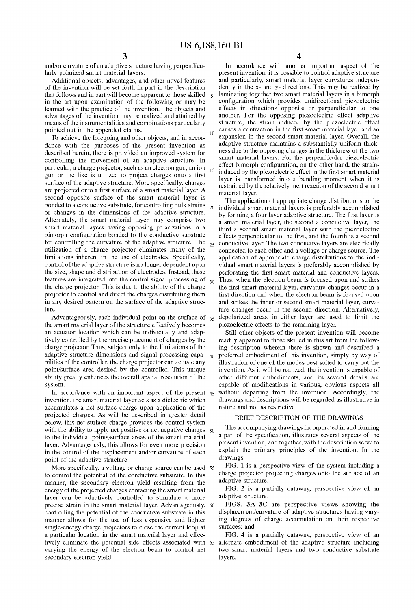25

and/or curvature of an adaptive structure having perpendicu larly polarized smart material layers.

Additional objects, advantages, and other novel features of the invention Will be set forth in part in the description that folloWs and in part Will become apparent to those skilled in the art upon examination of the following or may be learned With the practice of the invention. The objects and advantages of the invention may be realized and attained by means of the instrumentalities and combinations particularly pointed out in the appended claims.

To achieve the foregoing and other objects, and in accor dance With the purposes of the present invention as described herein, there is provided an improved system for controlling the movement of an adaptive structure. In particular, a charge projector, such as an electron gun, an ion gun or the like is utilized to project charges onto a first surface of the adaptive structure. More specifically, charges are projected onto a first surface of a smart material layer. A second opposite surface of the smart material layer is bonded to a conductive substrate, for controlling bulk strains  $_{20}$ or changes in the dimensions of the adaptive structure. Alternately, the smart material layer may comprise two smart material layers having opposing polarizations in a bimorph configuration bonded to the conductive substrate for controlling the curvature of the adaptive structure. The utiliZation of a charge projector eliminates many of the limitations inherent in the use of electrodes. Specifically, control of the adaptive structure is no longer dependent upon the size, shape and distribution of electrodes. Instead, these features are integrated into the control signal processing of the charge projector. This is due to the ability of the charge projector to control and direct the charges distributing them in any desired pattern on the surface of the adaptive struc ture. 10 15

Advantageously, each individual point on the surface of  $_{35}$ the smart material layer of the structure effectively becomes an actuator location Which can be individually and adap tively controlled by the precise placement of charges by the charge projector. Thus, subject only to the limitations of the adaptive structure dimensions and signal processing capa  $40$ bilities of the controller, the charge projector can actuate any point/surface area desired by the controller. This unique ability greatly enhances the overall spatial resolution of the system.

invention, the smart material layer acts as a dielectric Which accumulates a net surface charge upon application of the projected charges. As Will be described in greater detail beloW, this net surface charge provides the control system with the ability to apply net positive or net negative charges  $50$ to the individual points/surface areas of the smart material layer. Advantageously, this allows for even more precision in the control of the displacement and/or curvature of each point of the adaptive structure.

More specifically, a voltage or charge source can be used 55 to control the potential of the conductive substrate. In this manner, the secondary electron yield resulting from the energy of the projected charges contacting the smart material layer can be adaptively controlled to stimulate a more precise strain in the smart material layer. Advantageously, controlling the potential of the conductive substrate in this manner alloWs for the use of less expensive and lighter single-energy charge projectors to close the current loop at a particular location in the smart material layer and effec varying the energy of the electron beam to control net secondary electron yield.

4

In accordance With another important aspect of the present invention, it is possible to control adaptive structure and particularly, smart material layer curvatures indepen dently in the x- and y- directions. This may be realized by laminating together two smart material layers in a bimorph configuration which provides unidirectional piezoelectric effects in directions opposite or perpendicular to one another. For the opposing pieZoelectric effect adaptive structure, the strain induced by the piezoelectric effect causes a contraction in the first smart material layer and an expansion in the second smart material layer. Overall, the adaptive structure maintains a substantially uniform thick ness due to the opposing changes in the thickness of the tWo smart material layers. For the perpendicular pieZoelectric effect bimorph configuration, on the other hand, the straininduced by the piezoelectric effect in the first smart material layer is transformed into a bending moment When it is restrained by the relatively inert reaction of the second smart material layer.

The application of appropriate charge distributions to the individual smart material layers is preferably accomplished by forming a four layer adaptive structure. The first layer is a smart material layer, the second a conductive layer, the third a second smart material layer With the pieZoelectric effects perpendicular to the first, and the fourth is a second conductive layer. The two conductive layers are electrically connected to each other and a voltage or charge source. The application of appropriate charge distributions to the indi vidual smart material layers is preferably accomplished by perforating the first smart material and conductive layers. Thus, When the electron beam is focused upon and strikes the first smart material layer, curvature changes occur in a first direction and when the electron beam is focused upon and strikes the inner or second smart material layer, curva ture changes occur in the second direction. Alternatively, depolarized areas in either layer are used to limit the pieZoelectric effects to the remaining layer.

In accordance with an important aspect of the present 45 without departing from the invention. Accordingly, the Still other objects of the present invention Will become readily apparent to those skilled in this art from the folloW ing description wherein there is shown and described a preferred embodiment of this invention, simply by Way of illustration of one of the modes best suited to carry out the invention. As it will be realized, the invention is capable of other different embodiments, and its several details are capable of modifications in various, obvious aspects all draWings and descriptions Will be regarded as illustrative in nature and not as restrictive.

### BRIEF DESCRIPTION OF THE DRAWINGS

The accompanying drawings incorporated in and forming a part of the specification, illustrates several aspects of the present invention, and together, With the description serve to explain the primary principles of the invention. In the drawings:

FIG. 1 is a perspective vieW of the system including a charge projector projecting charges onto the surface of an adaptive structure;

FIG. 2 is a partially cutaway, perspective view of an adaptive structure;

FIGS. 3A-3C are perspective views showing the displacement/curvature of adaptive structures having vary ing degrees of charge accumulation on their respective surfaces; and

tively eliminate the potential side effects associated With 65 alternate embodiment of the adaptive structure including FIG. 4 is a partially cutaway, perspective view of an two smart material layers and two conductive substrate layers.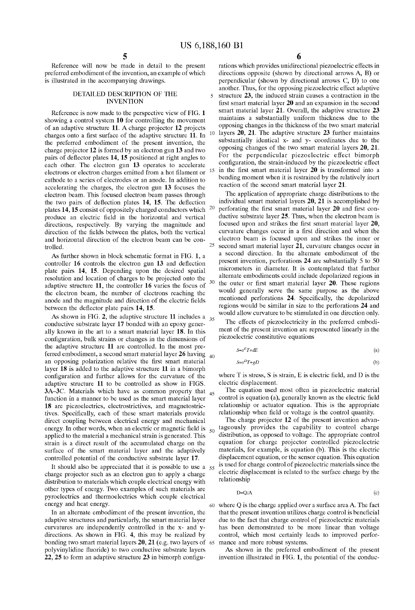15

25

30

Reference Will noW be made in detail to the present preferred embodiment of the invention, an example of Which is illustrated in the accompanying drawings.

#### DETAILED DESCRIPTION OF THE INVENTION

Reference is noW made to the perspective vieW of FIG. 1 showing a control system 10 for controlling the movement of an adaptive structure 11. A charge projector 12 projects charges onto a first surface of the adaptive structure 11. In the preferred embodiment of the present invention, the charge projector 12 is formed by an electron gun 13 and two pairs of deflector plates 14, 15 positioned at right angles to each other. The electron gun 13 operates to accelerate electrons or electron charges emitted from a hot filament or cathode to a series of electrodes or an anode. In addition to accelerating the charges, the electron gun 13 focuses the electron beam. This focused electron beam passes through the two pairs of deflection plates 14, 15. The deflection plates  $14$ ,  $15$  consist of oppositely charged conductors which  $20$ produce an electric field in the horizontal and vertical directions, respectively. By varying the magnitude and direction of the fields between the plates, both the vertical and horizontal direction of the electron beam can be controlled.

As further shown in block schematic format in FIG. 1, a controller  $16$  controls the electron gun  $13$  and deflection plate pairs 14, 15. Depending upon the desired spatial resolution and location of charges to be projected onto the adaptive structure 11, the controller 16 varies the focus of the electron beam, the number of electrons reaching the anode and the magnitude and direction of the electric fields between the deflector plate pairs 14, 15.

As shown in FIG. 2, the adaptive structure 11 includes a  $_{35}$ conductive substrate layer 17 bonded With an epoxy gener ally known in the art to a smart material layer 18. In this configuration, bulk strains or changes in the dimensions of the adaptive structure 11 are controlled. In the most pre ferred embodiment, a second smart material layer 26 having <sub>40</sub> an opposing polarization relative the first smart material layer 18 is added to the adaptive structure 11 in a bimorph configuration and further allows for the curvature of the adaptive structure 11 to be controlled as show in FIGS.  $3A-3C$ . Materials which have as common property that  $_{45}$ function in a manner to be used as the smart material layer 18 are pieZoelectrics, electrostrictives, and magnetostric tives. Specifically, each of these smart materials provide direct coupling betWeen electrical energy and mechanical energy. In other words, when an electric or magnetic field is applied to the material a mechanical strain is generated. This strain is a direct result of the accumulated charge on the surface of the smart material layer and the adaptively controlled potential of the conductive substrate layer 17.

It should also be appreciated that it is possible to use a  $55$ charge projector such as an electron gun to apply a charge distribution to materials Which couple electrical energy With other types of energy. TWo examples of such materials are pyroelectrics and thermoelectrics Which couple electrical energy and heat energy.

In an alternate embodiment of the present invention, the adaptive structures and particularly, the smart material layer curvatures are independently controlled in the x- and y directions. As shown in FIG. 4, this may be realized by bonding two smart material layers  $20, 21$  (e.g. two layers of  $65$  mance and more robust systems. polyvinylidine fluoride) to two conductive substrate layers  $22, 25$  to form an adaptive structure  $23$  in bimorph configu-

6

rations Which provides unidirectional pieZoelectric effects in directions opposite (shown by directional arrows A, B) or perpendicular (shown by directional arrows C, D) to one another. Thus, for the opposing pieZoelectric effect adaptive structure 23, the induced strain causes a contraction in the first smart material layer 20 and an expansion in the second smart material layer 21. Overall, the adaptive structure 23 maintains a substantially uniform thickness due to the opposing changes in the thickness of the tWo smart material 10 layers  $20$ ,  $21$ . The adaptive structure  $23$  further maintains substantially identical x- and y- coordinates due to the opposing changes of the tWo smart material layers 20, 21. For the perpendicular piezoelectric effect bimorph configuration, the strain-induced by the piezoelectric effect in the first smart material layer  $20$  is transformed into a bending moment When it is restrained by the relatively inert reaction of the second smart material layer 21.

The application of appropriate charge distributions to the individual smart material layers 20, 21 is accomplished by perforating the first smart material layer 20 and first conductive substrate layer 25. Thus, When the electron beam is focused upon and strikes the first smart material layer 20, curvature changes occur in a first direction and when the electron beam is focused upon and strikes the inner or second smart material layer 21, curvature changes occur in a second direction. In the alternate embodiment of the present invention, perforations 24 are substantially 5 to 50 micrometers in diameter. It is contemplated that further alternate embodiments could include depolarized regions in the outer or first smart material layer  $20$ . These regions Would generally serve the same purpose as the above mentioned perforations 24. Specifically, the depolarized regions would be similar in size to the perforations 24 and Would alloW curvature to be stimulated in one direction only.

The effects of pieZoelectricity in the preferred embodi ment of the present invention are represented linearly in the pieZoelectric constitutive equations

$$
S = s^E T + dE \tag{a}
$$

$$
S = s^D T + gD \tag{b}
$$

where  $T$  is stress,  $S$  is strain,  $E$  is electric field, and  $D$  is the electric displacement.

The equation used most often in pieZoelectric material control is equation (a), generally known as the electric field relationship or actuator equation. This is the appropriate relationship when field or voltage is the control quantity.

The charge projector 12 of the present invention advantageously provides the capability to control charge  $50^{\circ}$ distribution, as opposed to voltage. The appropriate control equation for charge projector controlled pieZoelectric materials, for example, is equation (b). This is the electric displacement equation, or the sensor equation. This equation is used for charge control of pieZoelectric materials since the electric displacement is related to the surface charge by the relationship

$$
D=Q/A
$$
 (c)

60 where  $Q$  is the charge applied over a surface area A. The fact that the present invention utilizes charge control is beneficial due to the fact that charge control of pieZoelectric materials has been demonstrated to be more linear than voltage control, Which most certainly leads to improved perfor

As shoWn in the preferred embodiment of the present invention illustrated in FIG. 1, the potential of the conduc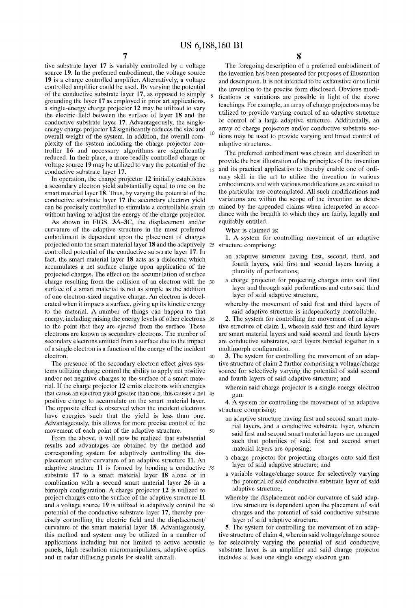$10$ 

 $40$ 

50

tive substrate layer 17 is variably controlled by a voltage source 19. In the preferred embodiment, the voltage source 19 is a charge controlled amplifier. Alternatively, a voltage controlled amplifier could be used. By varying the potential of the conductive substrate layer 17, as opposed to simply grounding the layer 17 as employed in prior art applications, a single-energy charge projector 12 may be utilized to vary the electric field between the surface of layer  $18$  and the conductive substrate layer 17. Advantageously, the single energy charge projector 12 significantly reduces the size and overall Weight of the system. In addition, the overall com pleXity of the system including the charge projector con troller  $16$  and necessary algorithms are significantly reduced. In their place, a more readily controlled charge or voltage source 19 may be utilized to vary the potential of the conductive substrate layer 17.

In operation, the charge projector 12 initially establishes a secondary electron yield substantially equal to one on the smart material layer 18. Thus, by varying the potential of the conductive substrate layer 17 the secondary electron yield can be precisely controlled to stimulate a controllable strain 20 without having to adjust the energy of the charge projector.

As shoWn in FIGS. 3A—3C, the displacement and/or curvature of the adaptive structure in the most preferred embodiment is dependent upon the placement of charges projected onto the smart material layer 18 and the adaptively 25 structure comprising: controlled potential of the conductive substrate layer 17. In fact, the smart material layer 18 acts as a dielectric Which accumulates a net surface charge upon application of the projected charges. The effect on the accumulation of surface charge resulting from the collision of an electron with the 30 surface of a smart material is not as simple as the addition of one electron-siZed negative charge. An electron is decel erated When it impacts a surface, giving up its kinetic energy to the material. A number of things can happen to that energy, including raising the energy levels of other electrons 35 to the point that they are ejected from the surface. These electrons are knoWn as secondary electrons. The number of secondary electrons emitted from a surface due to the impact of a single electron is a function of the energy of the incident electron.

The presence of the secondary electron effect gives sys tems utilizing charge control the ability to apply net positive and/or net negative charges to the surface of a smart mate rial. If the charge projector 12 emits electrons With energies that cause an electron yield greater than one, this causes a net 45 positive charge to accumulate on the smart material layer. The opposite effect is observed When the incident electrons have energies such that the yield is less than one. Advantageously, this allows for more precise control of the movement of each point of the adaptive structure.

From the above, it will now be realized that substantial results and advantages are obtained by the method and corresponding system for adaptively controlling the dis placement and/or curvature of an adaptive structure 11. An adaptive structure 11 is formed by bonding a conductive 55 substrate 17 to a smart material layer 18 alone or in combination With a second smart material layer 26 in a bimorph configuration. A charge projector  $12$  is utilized to project charges onto the surface of the adaptive structure 11 and a voltage source 19 is utiliZed to adaptively control the 60 potential of the conductive substrate layer 17, thereby pre cisely controlling the electric field and the displacement/ curvature of the smart material layer 18. Advantageously, this method and system may be utilized in a number of applications including but not limited to active acoustic 65 for selectively varying the potential of said conductive panels, high resolution micromanipulators, adaptive optics and in radar diffusing panels for stealth aircraft.

8

The foregoing description of a preferred embodiment of the invention has been presented for purposes of illustration and description. It is not intended to be exhaustive or to limit the invention to the precise form disclosed. Obvious modi fications or variations are possible in light of the above teachings. For example, an array of charge projectors may be utilized to provide varying control of an adaptive structure or control of a large adaptive structure. Additionally, an array of charge projectors and/or conductive substrate sec tions may be used to provide varying and broad control of adaptive structures.

15 and its practical application to thereby enable one of ordi The preferred embodiment Was chosen and described to provide the best illustration of the principles of the invention nary skill in the art to utilize the invention in various embodiments and with various modifications as are suited to the particular use contemplated. All such modifications and variations are Within the scope of the invention as deter mined by the appended claims When interpreted in accor dance With the breadth to Which they are fairly, legally and equitably entitled.

What is claimed is:

1. A system for controlling movement of an adaptive

- an adaptive structure having first, second, third, and fourth layers, said first and second layers having a plurality of perforations;
- a charge projector for projecting charges onto said first layer and through said perforations and onto said third layer of said adaptive structure,
- whereby the movement of said first and third layers of said adaptive structure is independently controllable.

2. The system for controlling the movement of an adap tive structure of claim 1, wherein said first and third layers are smart material layers and said second and fourth layers are conductive substrates, said layers bonded together in a multimorph configuration.

3. The system for controlling the movement of an adap tive structure of claim 2 further comprising a voltage/charge source for selectively varying the potential of said second and fourth layers of said adaptive structure; and

Wherein said charge projector is a single energy electron gun.

4. A system for controlling the movement of an adaptive structure comprising:

- an adaptive structure having first and second smart material layers, and a conductive substrate layer, Wherein said first and second smart material layers are arranged such that polarities of said first and second smart material layers are opposing;
- a charge projector for projecting charges onto said first layer of said adaptive structure; and
- a variable voltage/charge source for selectively varying the potential of said conductive substrate layer of said adaptive structure,
- whereby the displacement and/or curvature of said adaptive structure is dependent upon the placement of said charges and the potential of said conductive substrate layer of said adaptive structure.

5. The system for controlling the movement of an adap tive structure of claim 4, Wherein said voltage/charge source substrate layer is an amplifier and said charge projector includes at least one single energy electron gun.